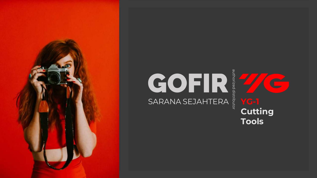



**Tools**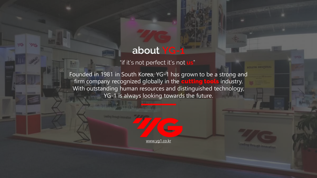### **about YG-1**

"if it's not perfect it's not **us**"

Founded in 1981 in South Korea, YG-1 has grown to be a strong and firm company recognized globally in the cutting tools industry. With outstanding human resources and distinguished technology, YG-1 is always looking towards the future.

www.yg1.co.kr

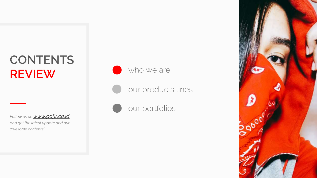### **CONTENTS REVIEW**

*Follow us on [www.gofir.co.id](http://www.gofir.co.id/) and get the latest update and our awesome contents!*







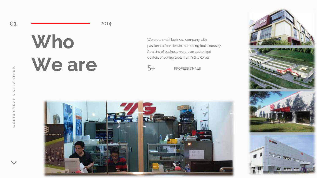#### 2014

## **Who We are**

We are a small business company with passionate founders in the cutting tools industry.. As a line of business we are an authorized dealers of cutting tools from YG -1 Korea.

5+ PROFESSIONALS





01.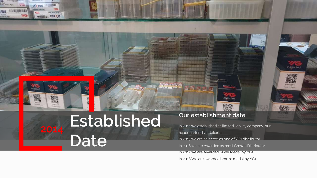

7G

on love more.

SIN TX

FY.

*<i><u>URANTOLIC VILLE</u>* 

Plus

**CONTR** Tions

**LID BANKMARK** 

4G

## **Established Date**

### **Our establishment date**

मा सा जा है। हा

孤心就

o la la porto

In 2014 we established as limited liability company, our headquarters is in Jakarta. In 2015 we are selected as one of YG1 distributor In 2016 we are Awarded as most Growth Distributor In 2017 we are Awarded Silver Medal by YG1 In 2018 We are awarded bronze medal by YG1

**The Property Company** 

Inspected

驟

Inspected

www.ugt.u

Made in Roma

*inspected*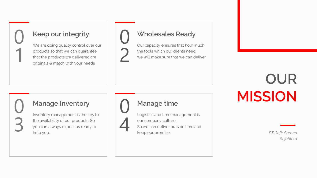### **Keep our integrity**

01

0<br>3

We are doing quality control over our products so that we can guarantee that the products we delivered are originals & match with your needs

### **Wholesales Ready**

Our capacity ensures that how much the tools which our clients need we will make sure that we can deliver

### **OUR MISSION**

*PT Gofir Sarana Sejahtera*

### **Manage Inventory**

Inventory management is the key to the availability of our products. So you can always expect us ready to help you.



0<br>2

**Manage time**

Logistics and time management is our company culture. So we can deliver ours on time and keep our promise.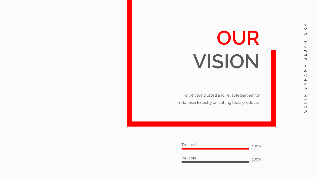## **OUR VISION**

To be your trusted and reliable partner for Indonesia Industry on cutting tools products.

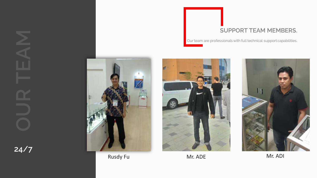

Rusdy Fu **Mr. ADE** Mr. ADE Mr. ADI

### **SUPPORT TEAM MEMBERS.**

Our team are professionals with full technical support capabilities.



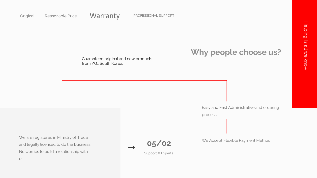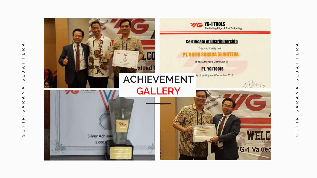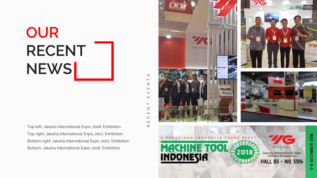## **OUR RECENT NEWS**

Top left; Jakarta International Expo, 2018, Exhibition Top right; Jakarta International Expo, 2017, Exhibition Bottom right; Jakarta International Expo, 2017, Exhibition Bottom; Jakarta International Expo, 2018, Exhibition

R E C E N T E V E N T S $\vdash$  $\mathord{\text{\rm Z}}$  $\sqcup$  $\geq$  $\sqcup$  $\vdash$  $\overline{z}$ Ш  $\circ$  $\sqcup$  $\simeq$ 

S

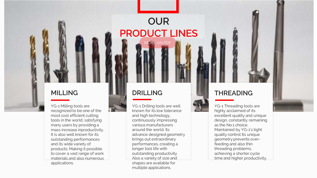### **MILLING**

YG-1 Milling tools are recognized to be one of the most cost efficient cutting tools in the world, satisfying many users by providing a mass increase inproductivity. It is also well known for its outstanding performances and its wide variety of products. Making it possible to cover a vast range of work materials and also numerous applications.

### **DRILLING**

YG-1 Drilling tools are well known for its low tolerance and high technology, continuously impressing various manufacturers around the world. Its advance designed geometry brings out extraordinary performances, creating a longer tool life with outstanding productivity. Also a variety of size and shapes are available for multiple applications.

MORE ON PDF

**OUR**

**PRODUCT LINES**



### **THREADING**

YG-1 Threading tools are highly acclaimed of its excellent quality and unique design, constantly remaining as the No.1 choice. Maintained by YG-1's tight quality control Its unique geometry prevents overfeeding and also thin threading problems, achieving a shorter cycle time and higher productivity.

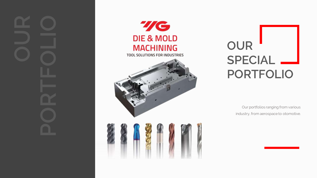





**OUR SPECIAL PORTFOLIO**

> Our portfolios ranging from various industry, from aerospace to otomotive.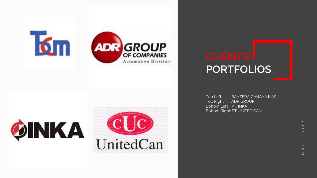





# **PORTFOLIOS**

Top Left : BAHTERA CAHAYA MAS Top Right : ADR GROUP Bottom Left : PT. INKA Bottom Right: PT UNITED CAN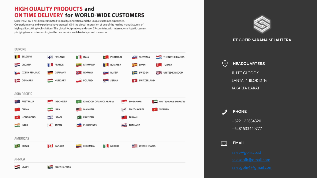### **HIGH QUALITY PRODUCTS and ON TIME DELIVERY for WORLD-WIDE CUSTOMERS**

Since 1982, YG-1 has been committed to quality, innovation and the unique customer experience. Our performance and experience have granted YG-1 the global impression of one of the leading manufacturers of high quality cutting tool solutions. This global footprint expands over 75 countries, with international logistic centers, pledging to our customers to give the best service available today - and tomorrow.





#### **PT GOFIR SARANA SEJAHTERA**



+6221 22684320 +6281533440777 **PHONE**

**EMAIL**  $\boxtimes$